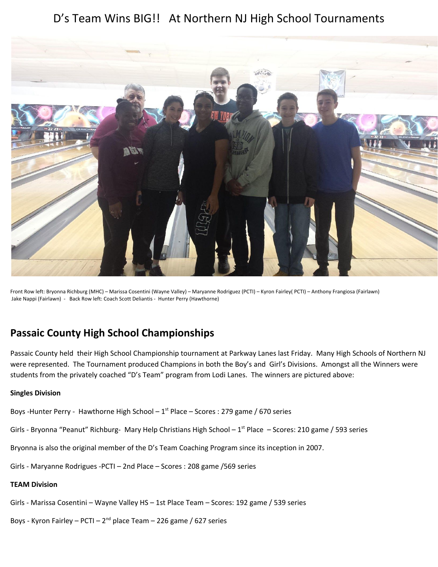# D's Team Wins BIG!! At Northern NJ High School Tournaments



Front Row left: Bryonna Richburg (MHC) – Marissa Cosentini (Wayne Valley) – Maryanne Rodriguez (PCTI) – Kyron Fairley( PCTI) – Anthony Frangiosa (Fairlawn) Jake Nappi (Fairlawn) - Back Row left: Coach Scott Deliantis - Hunter Perry (Hawthorne)

# **Passaic County High School Championships**

Passaic County held their High School Championship tournament at Parkway Lanes last Friday. Many High Schools of Northern NJ were represented. The Tournament produced Champions in both the Boy's and Girl's Divisions. Amongst all the Winners were students from the privately coached "D's Team" program from Lodi Lanes. The winners are pictured above:

#### **Singles Division**

Boys -Hunter Perry - Hawthorne High School  $-1^{st}$  Place  $-$  Scores : 279 game / 670 series

Girls - Bryonna "Peanut" Richburg- Mary Help Christians High School -  $1<sup>st</sup>$  Place - Scores: 210 game / 593 series

Bryonna is also the original member of the D's Team Coaching Program since its inception in 2007.

Girls - Maryanne Rodrigues -PCTI – 2nd Place – Scores : 208 game /569 series

#### **TEAM Division**

Girls - Marissa Cosentini – Wayne Valley HS – 1st Place Team – Scores: 192 game / 539 series

Boys - Kyron Fairley – PCTI – 2<sup>nd</sup> place Team – 226 game / 627 series